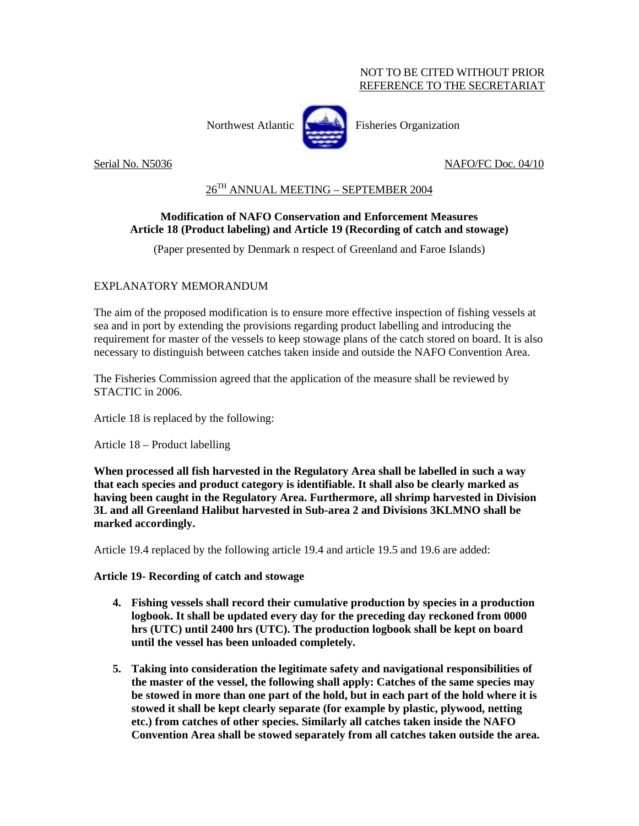## NOT TO BE CITED WITHOUT PRIOR REFERENCE TO THE SECRETARIAT

Northwest Atlantic **Fisheries** Organization



Serial No. N5036 NAFO/FC Doc. 04/10

## 26TH ANNUAL MEETING – SEPTEMBER 2004

## **Modification of NAFO Conservation and Enforcement Measures Article 18 (Product labeling) and Article 19 (Recording of catch and stowage)**

(Paper presented by Denmark n respect of Greenland and Faroe Islands)

## EXPLANATORY MEMORANDUM

The aim of the proposed modification is to ensure more effective inspection of fishing vessels at sea and in port by extending the provisions regarding product labelling and introducing the requirement for master of the vessels to keep stowage plans of the catch stored on board. It is also necessary to distinguish between catches taken inside and outside the NAFO Convention Area.

The Fisheries Commission agreed that the application of the measure shall be reviewed by STACTIC in 2006.

Article 18 is replaced by the following:

Article 18 – Product labelling

**When processed all fish harvested in the Regulatory Area shall be labelled in such a way that each species and product category is identifiable. It shall also be clearly marked as having been caught in the Regulatory Area. Furthermore, all shrimp harvested in Division 3L and all Greenland Halibut harvested in Sub-area 2 and Divisions 3KLMNO shall be marked accordingly.** 

Article 19.4 replaced by the following article 19.4 and article 19.5 and 19.6 are added:

**Article 19- Recording of catch and stowage** 

- **4. Fishing vessels shall record their cumulative production by species in a production logbook. It shall be updated every day for the preceding day reckoned from 0000 hrs (UTC) until 2400 hrs (UTC). The production logbook shall be kept on board until the vessel has been unloaded completely.**
- **5. Taking into consideration the legitimate safety and navigational responsibilities of the master of the vessel, the following shall apply: Catches of the same species may be stowed in more than one part of the hold, but in each part of the hold where it is stowed it shall be kept clearly separate (for example by plastic, plywood, netting etc.) from catches of other species. Similarly all catches taken inside the NAFO Convention Area shall be stowed separately from all catches taken outside the area.**